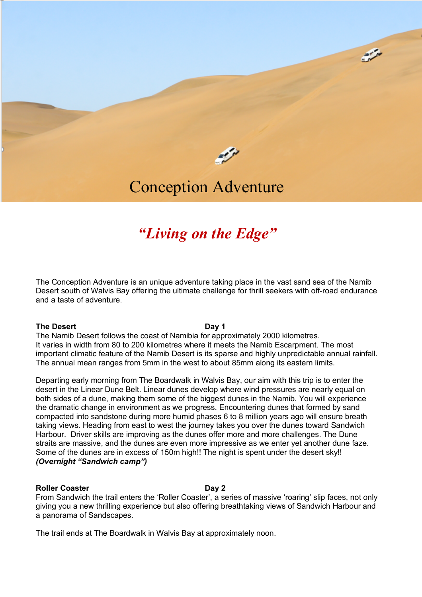

**ANGER** 

# Conception Adventure

# *"Living on the Edge"*

The Conception Adventure is an unique adventure taking place in the vast sand sea of the Namib Desert south of Walvis Bay offering the ultimate challenge for thrill seekers with off-road endurance and a taste of adventure.

#### **The Desert Day 1**

The Namib Desert follows the coast of Namibia for approximately 2000 kilometres. It varies in width from 80 to 200 kilometres where it meets the Namib Escarpment. The most important climatic feature of the Namib Desert is its sparse and highly unpredictable annual rainfall. The annual mean ranges from 5mm in the west to about 85mm along its eastern limits.

Departing early morning from The Boardwalk in Walvis Bay, our aim with this trip is to enter the desert in the Linear Dune Belt. Linear dunes develop where wind pressures are nearly equal on both sides of a dune, making them some of the biggest dunes in the Namib. You will experience the dramatic change in environment as we progress. Encountering dunes that formed by sand compacted into sandstone during more humid phases 6 to 8 million years ago will ensure breath taking views. Heading from east to west the journey takes you over the dunes toward Sandwich Harbour. Driver skills are improving as the dunes offer more and more challenges. The Dune straits are massive, and the dunes are even more impressive as we enter yet another dune faze. Some of the dunes are in excess of 150m high!! The night is spent under the desert sky!! *(Overnight "Sandwich camp")*

#### **Roller Coaster Day 2**

From Sandwich the trail enters the 'Roller Coaster', a series of massive 'roaring' slip faces, not only giving you a new thrilling experience but also offering breathtaking views of Sandwich Harbour and a panorama of Sandscapes.

The trail ends at The Boardwalk in Walvis Bay at approximately noon.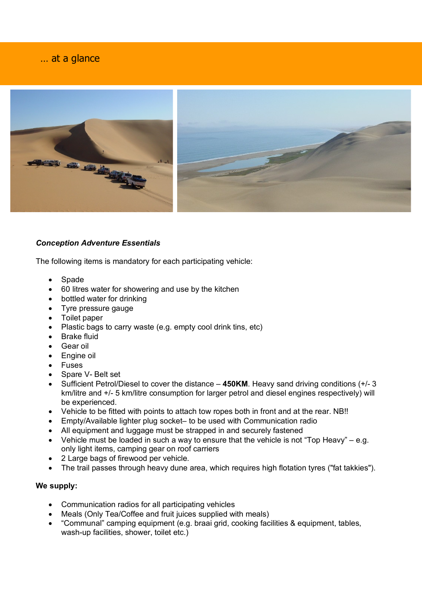# … at a glance

j



# *Conception Adventure Essentials*

The following items is mandatory for each participating vehicle:

- Spade
- 60 litres water for showering and use by the kitchen
- bottled water for drinking
- Tyre pressure gauge
- Toilet paper
- Plastic bags to carry waste (e.g. empty cool drink tins, etc)
- Brake fluid
- Gear oil
- Engine oil
- Fuses
- Spare V- Belt set
- Sufficient Petrol/Diesel to cover the distance **450KM**. Heavy sand driving conditions (+/- 3 km/litre and +/- 5 km/litre consumption for larger petrol and diesel engines respectively) will be experienced.
- Vehicle to be fitted with points to attach tow ropes both in front and at the rear. NB!!
- Empty/Available lighter plug socket– to be used with Communication radio
- All equipment and luggage must be strapped in and securely fastened
- Vehicle must be loaded in such a way to ensure that the vehicle is not "Top Heavy" e.g. only light items, camping gear on roof carriers
- 2 Large bags of firewood per vehicle.
- The trail passes through heavy dune area, which requires high flotation tyres ("fat takkies").

### **We supply:**

- Communication radios for all participating vehicles
- Meals (Only Tea/Coffee and fruit juices supplied with meals)
- "Communal" camping equipment (e.g. braai grid, cooking facilities & equipment, tables, wash-up facilities, shower, toilet etc.)